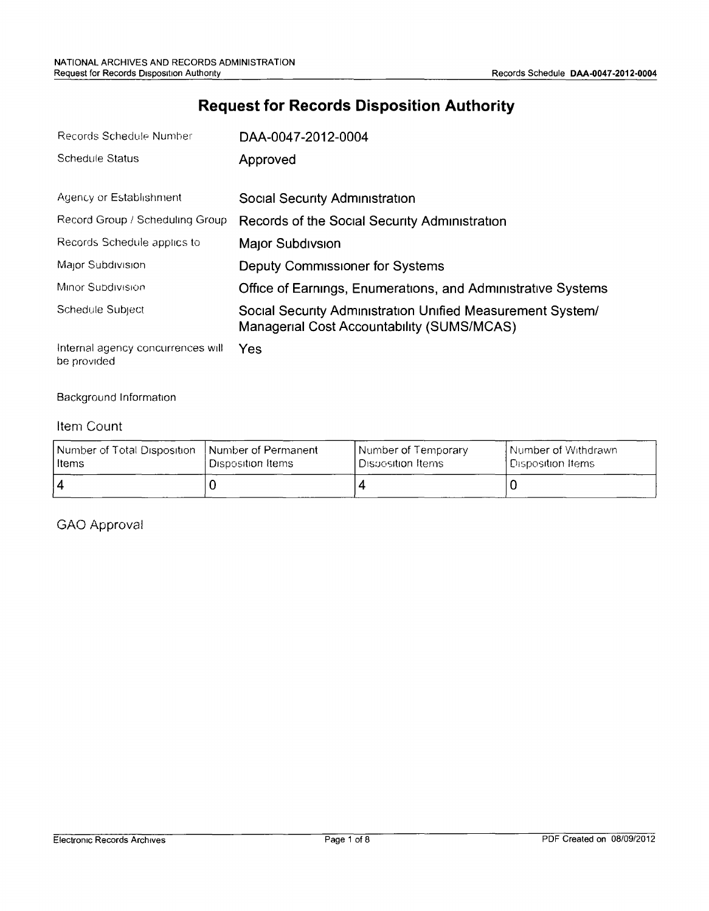# **Request for Records Disposition Authority**

| Records Schedule Number            | DAA-0047-2012-0004                                                                                       |
|------------------------------------|----------------------------------------------------------------------------------------------------------|
| <b>Schedule Status</b>             | Approved                                                                                                 |
| Agency or Establishment            | Social Security Administration                                                                           |
| Record Group / Scheduling Group    | Records of the Social Security Administration                                                            |
| Records Schedule applies to        | Major Subdivsion                                                                                         |
| Major Subdivision                  | Deputy Commissioner for Systems                                                                          |
| Minor Subdivision                  | Office of Earnings, Enumerations, and Administrative Systems                                             |
| Schedule Subject                   | Social Security Administration Unified Measurement System/<br>Managerial Cost Accountability (SUMS/MCAS) |
| Internal against concurrences will | $\mathcal{L}_{\mathbf{A}}$                                                                               |

Internal agency concurrences will Yes be provided

Background Information

#### Item Count

| Number of Total Disposition | <b>Number of Permanent</b> | Number of Temporary  | l Number of Withdrawn. |
|-----------------------------|----------------------------|----------------------|------------------------|
| l Items                     | <b>I</b> Disposition Items | l Disposition Items. | ' Disposition Items :  |
| 4                           |                            |                      |                        |

GAO Approval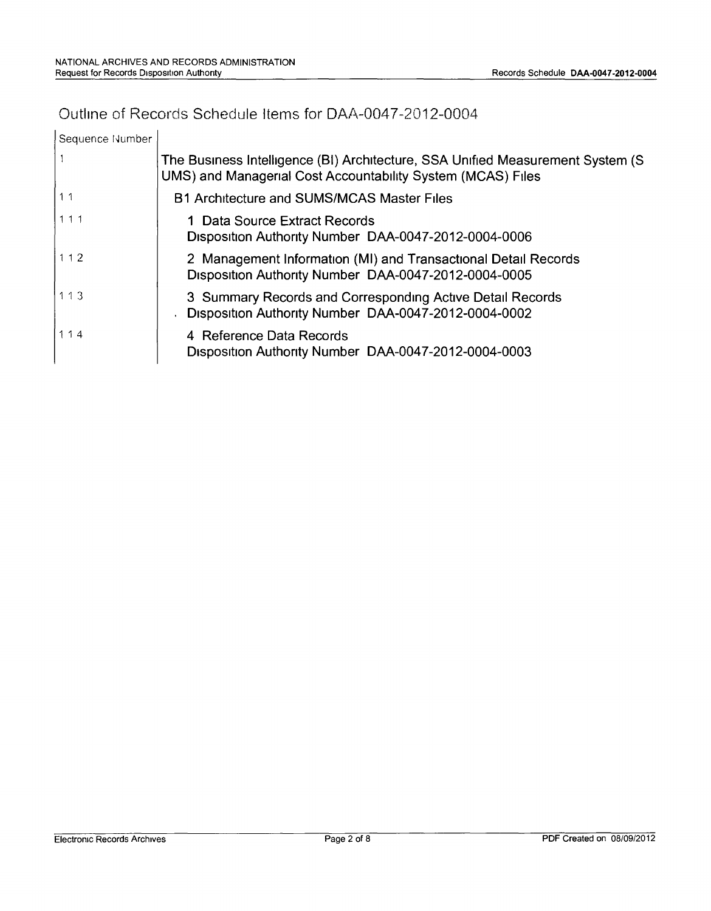### Outline of Records Schedule Items for DAA-0047-2012-0004

| Sequence Number |                                                                                                                                                |
|-----------------|------------------------------------------------------------------------------------------------------------------------------------------------|
|                 | The Business Intelligence (BI) Architecture, SSA Unified Measurement System (S)<br>UMS) and Managerial Cost Accountability System (MCAS) Files |
| 11              | B1 Architecture and SUMS/MCAS Master Files                                                                                                     |
| 111             | 1 Data Source Extract Records<br>Disposition Authority Number DAA-0047-2012-0004-0006                                                          |
| 112             | 2 Management Information (MI) and Transactional Detail Records<br>Disposition Authority Number DAA-0047-2012-0004-0005                         |
| 113             | 3 Summary Records and Corresponding Active Detail Records<br>Disposition Authority Number DAA-0047-2012-0004-0002                              |
| 114             | 4 Reference Data Records<br>Disposition Authority Number DAA-0047-2012-0004-0003                                                               |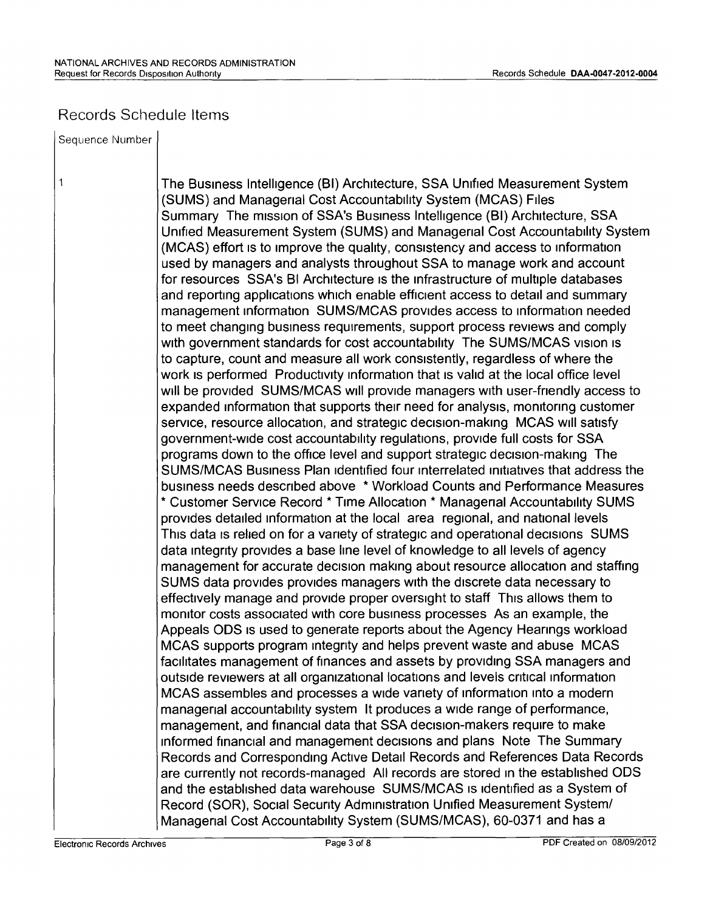#### Records Schedule Items

Sequence Number

 $\mathbf{1}$ 

The Business Intelligence (BI) Architecture, SSA Unified Measurement System (SUMS) and Managerial Cost Accountability System (MCAS) Files Summary The mission of SSA's Business Intelligence (BI) Architecture, SSA Unified Measurement System (SUMS) and Managerial Cost Accountability System (MCAS) effort is to improve the quality, consistency and access to information used by managers and analysts throughout SSA to manage work and account for resources SSA's BI Architecture is the infrastructure of multiple databases and reporting applications which enable efficient access to detail and summary management information SUMS/MCAS provides access to information needed to meet changing business requirements, support process reviews and comply with government standards for cost accountability The SUMS/MCAS vision is to capture, count and measure all work consistently, regardless of where the work is performed Productivity information that is valid at the local office level will be provided SUMS/MCAS will provide managers with user-friendly access to expanded information that supports their need for analysis, monitoring customer service, resource allocation, and strategic decision-making MCAS will satisfy government-wide cost accountability regulations, provide full costs for SSA programs down to the office level and support strategic decision-making The SUMS/MCAS Business Plan Identified four Interrelated Initiatives that address the business needs described above \* Workload Counts and Performance Measures \* Customer Service Record \* Time Allocation \* Managerial Accountability SUMS provides detailed information at the local area regional, and national levels This data is relied on for a variety of strategic and operational decisions SUMS data integrity provides a base line level of knowledge to all levels of agency management for accurate decision making about resource allocation and staffing SUMS data provides provides managers with the discrete data necessary to effectively manage and provide proper oversiqht to staff Thrs allows them to monitor costs associated with core business processes As an example, the Appeals ODS IS used to generate reports about the Agency Hearings workload MCAS supports program integrity and helps prevent waste and abuse MCAS facilitates management of finances and assets by providing SSA managers and outside reviewers at all organizational locations and levels critical information MCAS assembles and processes a wide variety of information into a modern managerial accountability system It produces a Wide range of performance, management, and financial data that SSA decision-makers require to make Informed financial and management decrsions and plans Note The Summary Records and Corresponding Active Detail Records and References Data Records are currently not records-managed All records are stored In the established ODS and the established data warehouse SUMS/MCAS IS Identified as a System of Record (SOR), Social Security Administration Unified Measurement *Systeml* Managerial Cost Accountability System (SUMS/MCAS), 60-0371 and has a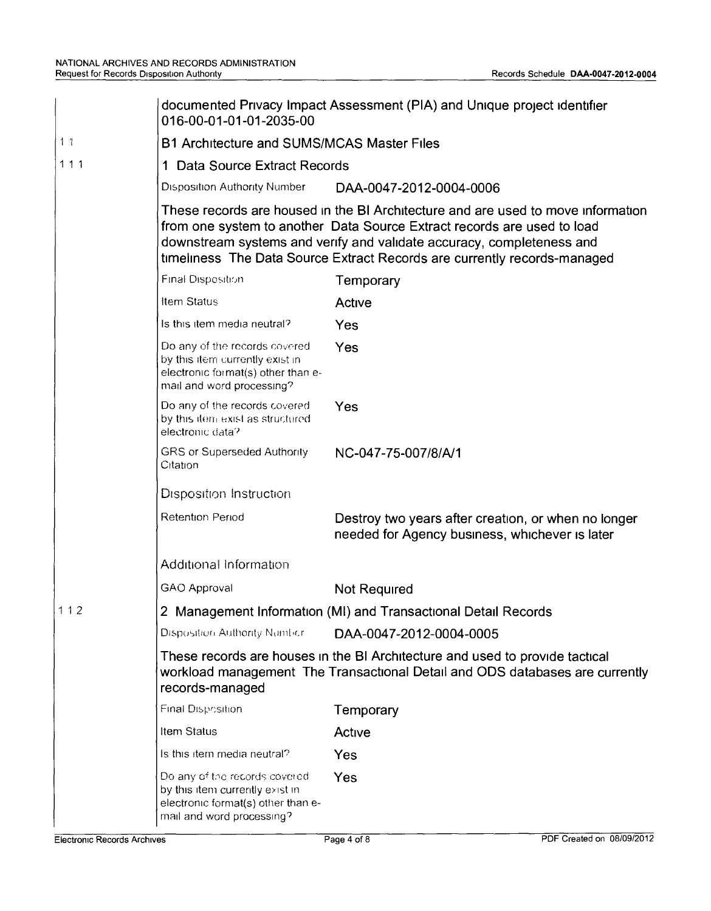|                | documented Privacy Impact Assessment (PIA) and Unique project identifier<br>016-00-01-01-01-2035-00                                                                                                                                                                                                              |                                                                                                       |  |  |
|----------------|------------------------------------------------------------------------------------------------------------------------------------------------------------------------------------------------------------------------------------------------------------------------------------------------------------------|-------------------------------------------------------------------------------------------------------|--|--|
| 1 <sub>1</sub> | <b>B1 Architecture and SUMS/MCAS Master Files</b>                                                                                                                                                                                                                                                                |                                                                                                       |  |  |
| 111            | 1 Data Source Extract Records                                                                                                                                                                                                                                                                                    |                                                                                                       |  |  |
|                | Disposition Authority Number<br>DAA-0047-2012-0004-0006                                                                                                                                                                                                                                                          |                                                                                                       |  |  |
|                | These records are housed in the BI Architecture and are used to move information<br>from one system to another Data Source Extract records are used to load<br>downstream systems and verify and validate accuracy, completeness and<br>timeliness The Data Source Extract Records are currently records-managed |                                                                                                       |  |  |
|                | <b>Final Disposition</b>                                                                                                                                                                                                                                                                                         | Temporary                                                                                             |  |  |
|                | Item Status                                                                                                                                                                                                                                                                                                      | Active                                                                                                |  |  |
|                | Is this item media neutral?                                                                                                                                                                                                                                                                                      | Yes                                                                                                   |  |  |
|                | Do any of the records covered<br>by this item currently exist in<br>electronic format(s) other than e-<br>mail and word processing?                                                                                                                                                                              | Yes                                                                                                   |  |  |
|                | Do any of the records covered<br>by this item exist as structured<br>electronic data?                                                                                                                                                                                                                            | Yes                                                                                                   |  |  |
|                | <b>GRS or Superseded Authority</b><br>Citation                                                                                                                                                                                                                                                                   | NC-047-75-007/8/A/1                                                                                   |  |  |
|                | Disposition Instruction                                                                                                                                                                                                                                                                                          |                                                                                                       |  |  |
|                | <b>Retention Period</b>                                                                                                                                                                                                                                                                                          | Destroy two years after creation, or when no longer<br>needed for Agency business, whichever is later |  |  |
|                | Additional Information                                                                                                                                                                                                                                                                                           |                                                                                                       |  |  |
|                | <b>GAO Approval</b>                                                                                                                                                                                                                                                                                              | Not Required                                                                                          |  |  |
| 112            | 2 Management Information (MI) and Transactional Detail Records                                                                                                                                                                                                                                                   |                                                                                                       |  |  |
|                | <b>Disposition Authority Number</b>                                                                                                                                                                                                                                                                              | DAA-0047-2012-0004-0005                                                                               |  |  |
|                | These records are houses in the BI Architecture and used to provide tactical<br>workload management The Transactional Detail and ODS databases are currently                                                                                                                                                     |                                                                                                       |  |  |
|                | <b>Final Disposition</b>                                                                                                                                                                                                                                                                                         | Temporary                                                                                             |  |  |
|                | Item Status                                                                                                                                                                                                                                                                                                      | Active                                                                                                |  |  |
|                | Is this item media neutral?                                                                                                                                                                                                                                                                                      | Yes                                                                                                   |  |  |
|                | Do any of the records covered<br>by this item currently exist in<br>electronic format(s) other than e-<br>mail and word processing?                                                                                                                                                                              | Yes                                                                                                   |  |  |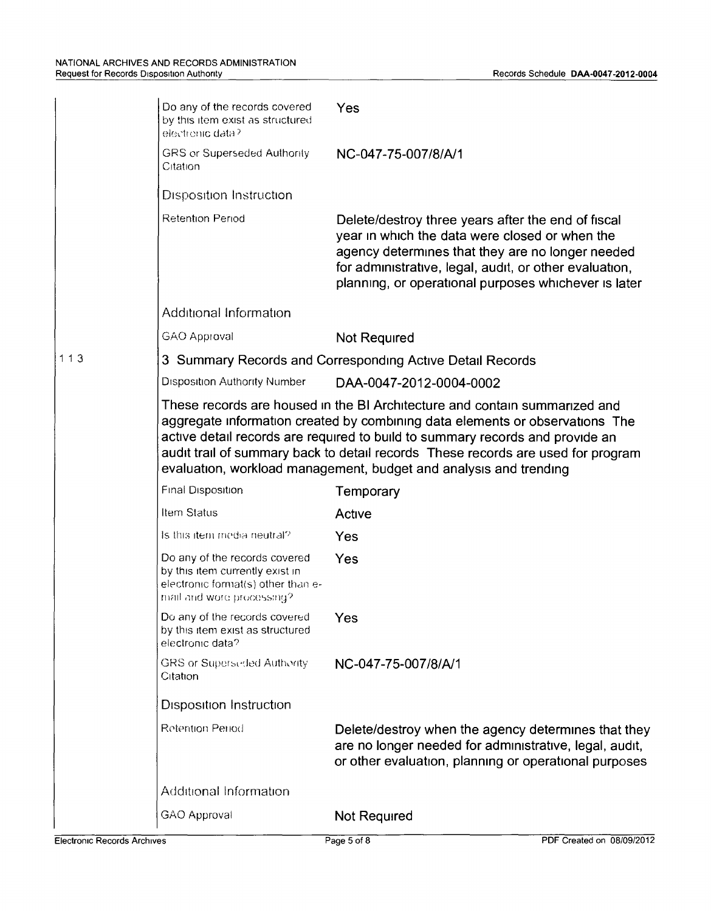|     | Do any of the records covered<br>by this item exist as structured<br>electronic data?                                                                                                                                                                                                                                                                                                                | Yes                                                                                                                                                                                                                                                                        |  |  |
|-----|------------------------------------------------------------------------------------------------------------------------------------------------------------------------------------------------------------------------------------------------------------------------------------------------------------------------------------------------------------------------------------------------------|----------------------------------------------------------------------------------------------------------------------------------------------------------------------------------------------------------------------------------------------------------------------------|--|--|
|     | GRS or Superseded Authority<br>Citation                                                                                                                                                                                                                                                                                                                                                              | NC-047-75-007/8/A/1                                                                                                                                                                                                                                                        |  |  |
|     | <b>Disposition Instruction</b>                                                                                                                                                                                                                                                                                                                                                                       |                                                                                                                                                                                                                                                                            |  |  |
|     | <b>Retention Period</b>                                                                                                                                                                                                                                                                                                                                                                              | Delete/destroy three years after the end of fiscal<br>year in which the data were closed or when the<br>agency determines that they are no longer needed<br>for administrative, legal, audit, or other evaluation,<br>planning, or operational purposes whichever is later |  |  |
|     | Additional Information                                                                                                                                                                                                                                                                                                                                                                               |                                                                                                                                                                                                                                                                            |  |  |
|     | GAO Approval                                                                                                                                                                                                                                                                                                                                                                                         | Not Required                                                                                                                                                                                                                                                               |  |  |
| 113 |                                                                                                                                                                                                                                                                                                                                                                                                      | 3 Summary Records and Corresponding Active Detail Records                                                                                                                                                                                                                  |  |  |
|     | <b>Disposition Authority Number</b>                                                                                                                                                                                                                                                                                                                                                                  | DAA-0047-2012-0004-0002                                                                                                                                                                                                                                                    |  |  |
|     | These records are housed in the BI Architecture and contain summarized and<br>aggregate information created by combining data elements or observations The<br>active detail records are required to build to summary records and provide an<br>audit trail of summary back to detail records These records are used for program<br>evaluation, workload management, budget and analysis and trending |                                                                                                                                                                                                                                                                            |  |  |
|     | Final Disposition                                                                                                                                                                                                                                                                                                                                                                                    | Temporary                                                                                                                                                                                                                                                                  |  |  |
|     | Item Status                                                                                                                                                                                                                                                                                                                                                                                          | Active                                                                                                                                                                                                                                                                     |  |  |
|     | Is this item media neutral?                                                                                                                                                                                                                                                                                                                                                                          | Yes                                                                                                                                                                                                                                                                        |  |  |
|     | Do any of the records covered<br>by this item currently exist in<br>electronic format(s) other than e-<br>mail and wore processing?                                                                                                                                                                                                                                                                  | Yes                                                                                                                                                                                                                                                                        |  |  |
|     | Do any of the records covered<br>by this item exist as structured<br>electronic data?                                                                                                                                                                                                                                                                                                                | Yes                                                                                                                                                                                                                                                                        |  |  |
|     | <b>GRS or Superseded Authority</b><br>Citation                                                                                                                                                                                                                                                                                                                                                       | NC-047-75-007/8/A/1                                                                                                                                                                                                                                                        |  |  |
|     | <b>Disposition Instruction</b>                                                                                                                                                                                                                                                                                                                                                                       |                                                                                                                                                                                                                                                                            |  |  |
|     | Retention Period                                                                                                                                                                                                                                                                                                                                                                                     | Delete/destroy when the agency determines that they<br>are no longer needed for administrative, legal, audit,<br>or other evaluation, planning or operational purposes                                                                                                     |  |  |
|     | Additional Information                                                                                                                                                                                                                                                                                                                                                                               |                                                                                                                                                                                                                                                                            |  |  |
|     | GAO Approval                                                                                                                                                                                                                                                                                                                                                                                         | Not Required                                                                                                                                                                                                                                                               |  |  |
|     |                                                                                                                                                                                                                                                                                                                                                                                                      |                                                                                                                                                                                                                                                                            |  |  |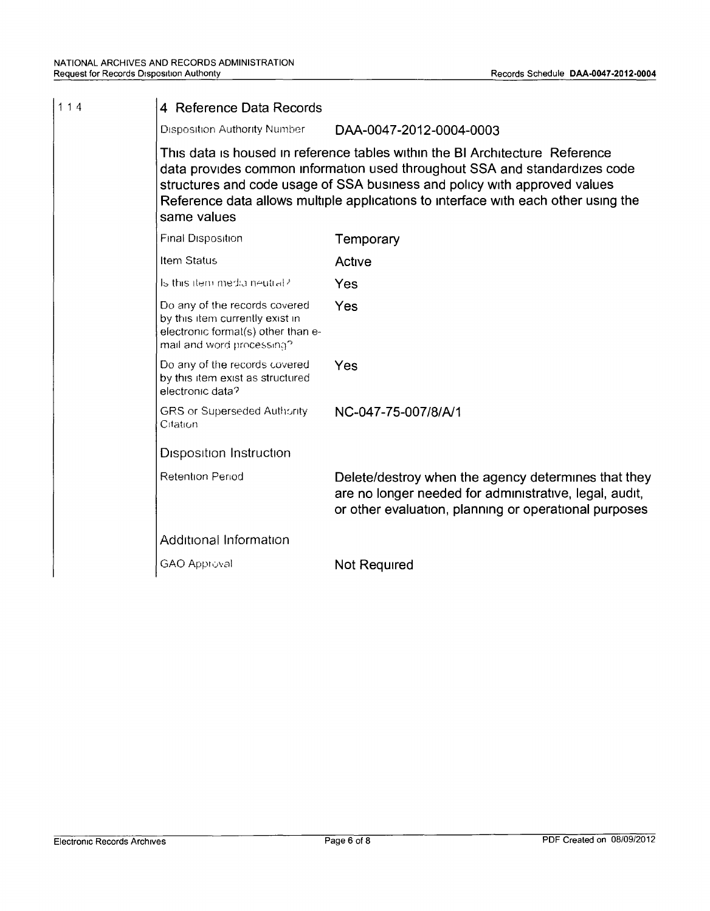| 114 | 4 Reference Data Records                                                                                                            |                                                                                                                                                                                                                                                                                                                               |  |  |
|-----|-------------------------------------------------------------------------------------------------------------------------------------|-------------------------------------------------------------------------------------------------------------------------------------------------------------------------------------------------------------------------------------------------------------------------------------------------------------------------------|--|--|
|     | <b>Disposition Authority Number</b>                                                                                                 | DAA-0047-2012-0004-0003                                                                                                                                                                                                                                                                                                       |  |  |
|     | same values                                                                                                                         | This data is housed in reference tables within the BI Architecture Reference<br>data provides common information used throughout SSA and standardizes code<br>structures and code usage of SSA business and policy with approved values<br>Reference data allows multiple applications to interface with each other using the |  |  |
|     | <b>Final Disposition</b>                                                                                                            | Temporary                                                                                                                                                                                                                                                                                                                     |  |  |
|     | Item Status                                                                                                                         | Active                                                                                                                                                                                                                                                                                                                        |  |  |
|     | Is this item media neutral?                                                                                                         | Yes                                                                                                                                                                                                                                                                                                                           |  |  |
|     | Do any of the records covered<br>by this item currently exist in<br>electronic format(s) other than e-<br>mail and word processing? | Yes                                                                                                                                                                                                                                                                                                                           |  |  |
|     | Do any of the records covered<br>by this item exist as structured<br>electronic data?                                               | Yes                                                                                                                                                                                                                                                                                                                           |  |  |
|     | <b>GRS or Superseded Authority</b><br>Citation                                                                                      | NC-047-75-007/8/A/1                                                                                                                                                                                                                                                                                                           |  |  |
|     | <b>Disposition Instruction</b>                                                                                                      |                                                                                                                                                                                                                                                                                                                               |  |  |
|     | <b>Retention Period</b>                                                                                                             | Delete/destroy when the agency determines that they<br>are no longer needed for administrative, legal, audit,<br>or other evaluation, planning or operational purposes                                                                                                                                                        |  |  |
|     | Additional Information                                                                                                              |                                                                                                                                                                                                                                                                                                                               |  |  |
|     | <b>GAO Approval</b>                                                                                                                 | Not Required                                                                                                                                                                                                                                                                                                                  |  |  |
|     |                                                                                                                                     |                                                                                                                                                                                                                                                                                                                               |  |  |